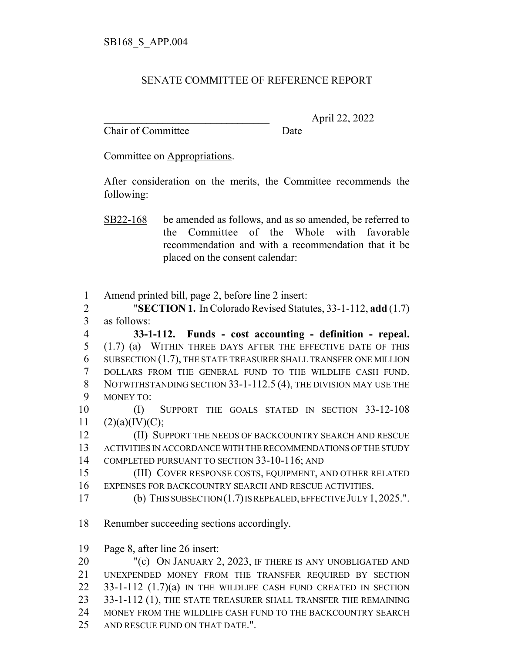## SENATE COMMITTEE OF REFERENCE REPORT

Chair of Committee Date

\_\_\_\_\_\_\_\_\_\_\_\_\_\_\_\_\_\_\_\_\_\_\_\_\_\_\_\_\_\_\_ April 22, 2022

Committee on Appropriations.

After consideration on the merits, the Committee recommends the following:

- SB22-168 be amended as follows, and as so amended, be referred to the Committee of the Whole with favorable recommendation and with a recommendation that it be placed on the consent calendar:
- 1 Amend printed bill, page 2, before line 2 insert:

2 "**SECTION 1.** In Colorado Revised Statutes, 33-1-112, **add** (1.7) 3 as follows:

 **33-1-112. Funds - cost accounting - definition - repeal.** (1.7) (a) WITHIN THREE DAYS AFTER THE EFFECTIVE DATE OF THIS SUBSECTION (1.7), THE STATE TREASURER SHALL TRANSFER ONE MILLION DOLLARS FROM THE GENERAL FUND TO THE WILDLIFE CASH FUND. 8 NOTWITHSTANDING SECTION 33-1-112.5 (4), THE DIVISION MAY USE THE MONEY TO:

10 (I) SUPPORT THE GOALS STATED IN SECTION 33-12-108  $11 \quad (2)(a)(IV)(C);$ 

12 **(II) SUPPORT THE NEEDS OF BACKCOUNTRY SEARCH AND RESCUE** 13 ACTIVITIES IN ACCORDANCE WITH THE RECOMMENDATIONS OF THE STUDY 14 COMPLETED PURSUANT TO SECTION 33-10-116; AND

15 (III) COVER RESPONSE COSTS, EQUIPMENT, AND OTHER RELATED 16 EXPENSES FOR BACKCOUNTRY SEARCH AND RESCUE ACTIVITIES.

- 17 (b) THIS SUBSECTION (1.7) IS REPEALED, EFFECTIVE JULY 1,2025.".
- 18 Renumber succeeding sections accordingly.

19 Page 8, after line 26 insert:

20 "(c) ON JANUARY 2, 2023, IF THERE IS ANY UNOBLIGATED AND 21 UNEXPENDED MONEY FROM THE TRANSFER REQUIRED BY SECTION 22 33-1-112 (1.7)(a) IN THE WILDLIFE CASH FUND CREATED IN SECTION 23 33-1-112 (1), THE STATE TREASURER SHALL TRANSFER THE REMAINING 24 MONEY FROM THE WILDLIFE CASH FUND TO THE BACKCOUNTRY SEARCH 25 AND RESCUE FUND ON THAT DATE.".